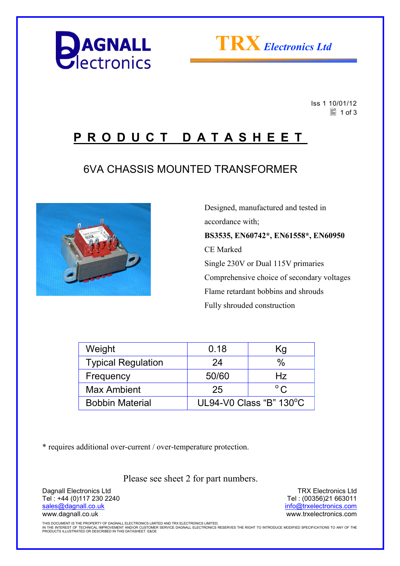



 Iss 1 10/01/12  $\equiv$  1 of 3

## **P R O D U C T D A T A S H E E T**

## 6VA CHASSIS MOUNTED TRANSFORMER



 Designed, manufactured and tested in accordance with; **BS3535, EN60742\*, EN61558\*, EN60950**  CE Marked Single 230V or Dual 115V primaries Comprehensive choice of secondary voltages Flame retardant bobbins and shrouds Fully shrouded construction

| Weight                    | 0.18                              | Κg            |  |
|---------------------------|-----------------------------------|---------------|--|
| <b>Typical Regulation</b> | 24                                | %             |  |
| Frequency                 | 50/60                             | Hz            |  |
| <b>Max Ambient</b>        | 25                                | $^{\circ}$ C. |  |
| <b>Bobbin Material</b>    | UL94-V0 Class "B" $130^{\circ}$ C |               |  |

\* requires additional over-current / over-temperature protection.

Please see sheet 2 for part numbers.

Dagnall Electronics Ltd Tel : +44 (0)117 230 2240 sales@dagnall.co.uk www.dagnall.co.uk

TRX Electronics Ltd Tel : (00356)21 663011 info@trxelectronics.com www.trxelectronics.com

THIS DOCUMENT IS THE PROPERTY OF DAGNALL ELECTRONICS LIMITED AND TRX ELECTRONICS LIMITED.<br>IN THE INTEREST OF TECHNICAL IMPROVEMENT AND/OR CUSTOMER SERVICE DAGNALL ELECTRONICS RESERVES THE RIGHT TO INTRODUCE MODIFIED SPECIF PRODUCTS ILLUSTRATED OR DESCRIBED IN THIS DATASHEET. E&OE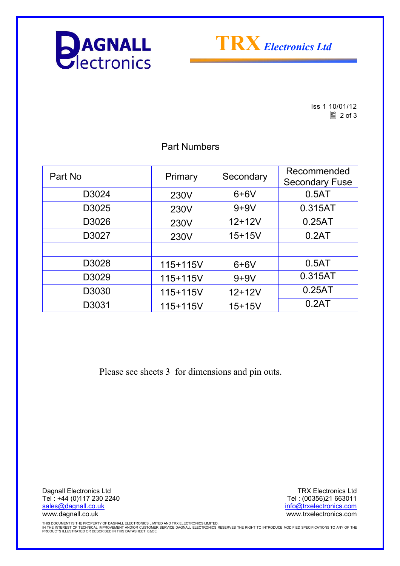



Iss 1 10/01/12  $\boxed{2}$  of 3

| Part No | Primary  | Secondary  | Recommended<br><b>Secondary Fuse</b> |
|---------|----------|------------|--------------------------------------|
| D3024   | 230V     | $6+6V$     | 0.5AT                                |
| D3025   | 230V     | $9+9V$     | 0.315AT                              |
| D3026   | 230V     | $12+12V$   | 0.25AT                               |
| D3027   | 230V     | $15 + 15V$ | 0.2AT                                |
|         |          |            |                                      |
| D3028   | 115+115V | $6+6V$     | 0.5AT                                |
| D3029   | 115+115V | $9+9V$     | 0.315AT                              |
| D3030   | 115+115V | $12 + 12V$ | 0.25AT                               |
| D3031   | 115+115V | $15 + 15V$ | 0.2AT                                |

Part Numbers

Please see sheets 3 for dimensions and pin outs.

Dagnall Electronics Ltd Tel : +44 (0)117 230 2240 sales@dagnall.co.uk www.dagnall.co.uk

TRX Electronics Ltd Tel : (00356)21 663011 info@trxelectronics.com www.trxelectronics.com

THIS DOCUMENT IS THE PROPERTY OF DAGNALL ELECTRONICS LIMITED AND TRX ELECTRONICS LIMITED.<br>IN THE INTEREST OF TECHNICAL IMPROVEMENT AND/OR CUSTOMER SERVICE DAGNALL ELECTRONICS RESERVES THE RIGHT TO INTRODUCE MODIFIED SPECIF